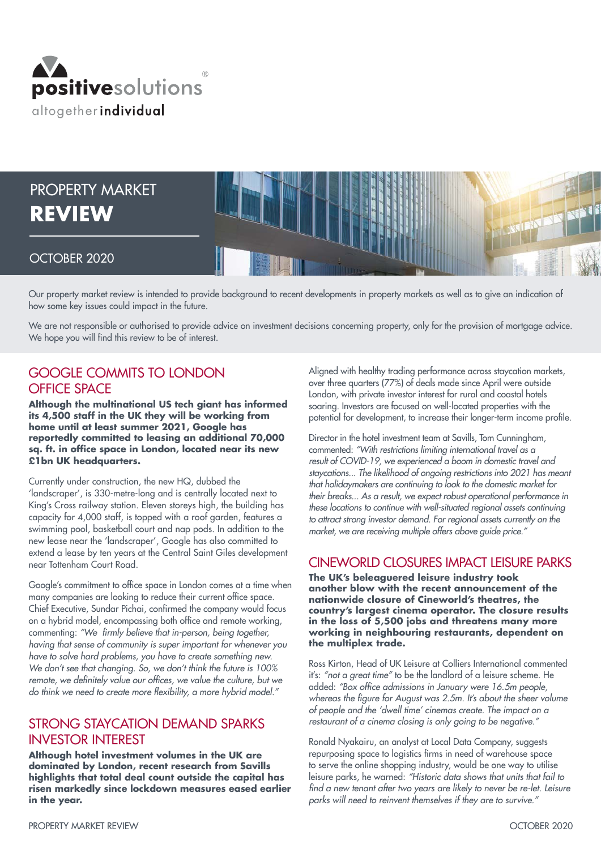



Our property market review is intended to provide background to recent developments in property markets as well as to give an indication of how some key issues could impact in the future.

We are not responsible or authorised to provide advice on investment decisions concerning property, only for the provision of mortgage advice. We hope you will find this review to be of interest.

## GOOGLE COMMITS TO LONDON OFFICE SPACE

**Although the multinational US tech giant has informed its 4,500 staff in the UK they will be working from home until at least summer 2021, Google has reportedly committed to leasing an additional 70,000 sq. ft. in office space in London, located near its new £1bn UK headquarters.**

Currently under construction, the new HQ, dubbed the 'landscraper', is 330-metre-long and is centrally located next to King's Cross railway station. Eleven storeys high, the building has capacity for 4,000 staff, is topped with a roof garden, features a swimming pool, basketball court and nap pods. In addition to the new lease near the 'landscraper', Google has also committed to extend a lease by ten years at the Central Saint Giles development near Tottenham Court Road.

Google's commitment to office space in London comes at a time when many companies are looking to reduce their current office space. Chief Executive, Sundar Pichai, confirmed the company would focus on a hybrid model, encompassing both office and remote working, commenting: "We firmly believe that in-person, being together, having that sense of community is super important for whenever you have to solve hard problems, you have to create something new. We don't see that changing. So, we don't think the future is 100% remote, we definitely value our offices, we value the culture, but we do think we need to create more flexibility, a more hybrid model."

### STRONG STAYCATION DEMAND SPARKS INVESTOR INTEREST

**Although hotel investment volumes in the UK are dominated by London, recent research from Savills highlights that total deal count outside the capital has risen markedly since lockdown measures eased earlier in the year.**

Aligned with healthy trading performance across staycation markets, over three quarters (77%) of deals made since April were outside London, with private investor interest for rural and coastal hotels soaring. Investors are focused on well-located properties with the potential for development, to increase their longer-term income profile.

Director in the hotel investment team at Savills, Tom Cunningham, commented: "With restrictions limiting international travel as a result of COVID-19, we experienced a boom in domestic travel and staycations... The likelihood of ongoing restrictions into 2021 has meant that holidaymakers are continuing to look to the domestic market for their breaks... As a result, we expect robust operational performance in these locations to continue with well-situated regional assets continuing to attract strong investor demand. For regional assets currently on the market, we are receiving multiple offers above guide price."

## CINEWORLD CLOSURES IMPACT LEISURE PARKS

**The UK's beleaguered leisure industry took another blow with the recent announcement of the nationwide closure of Cineworld's theatres, the country's largest cinema operator. The closure results in the loss of 5,500 jobs and threatens many more working in neighbouring restaurants, dependent on the multiplex trade.**

Ross Kirton, Head of UK Leisure at Colliers International commented it's: "not a great time" to be the landlord of a leisure scheme. He added: "Box office admissions in January were 16.5m people, whereas the figure for August was 2.5m. It's about the sheer volume of people and the 'dwell time' cinemas create. The impact on a restaurant of a cinema closing is only going to be negative."

Ronald Nyakairu, an analyst at Local Data Company, suggests repurposing space to logistics firms in need of warehouse space to serve the online shopping industry, would be one way to utilise leisure parks, he warned: "Historic data shows that units that fail to find a new tenant after two years are likely to never be re-let. Leisure parks will need to reinvent themselves if they are to survive."